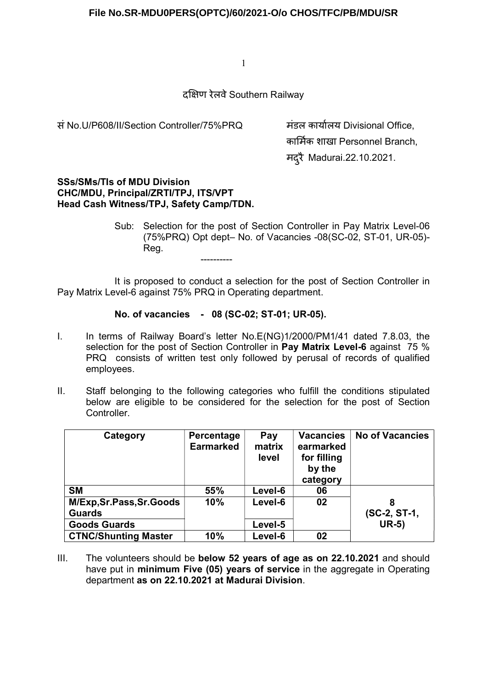दͯ¢ण रेलवे Southern Railway

सं No.U/P608/II/Section Controller/75%PRQ कार्यालय Divisional Office,

कार्मिक शाखा Personnel Branch. मद्रै Madurai.22.10.2021.

#### SSs/SMs/TIs of MDU Division CHC/MDU, Principal/ZRTI/TPJ, ITS/VPT Head Cash Witness/TPJ, Safety Camp/TDN.

Sub: Selection for the post of Section Controller in Pay Matrix Level-06 (75%PRQ) Opt dept– No. of Vacancies -08(SC-02, ST-01, UR-05)- Reg. ----------

 It is proposed to conduct a selection for the post of Section Controller in Pay Matrix Level-6 against 75% PRQ in Operating department.

## No. of vacancies - 08 (SC-02; ST-01; UR-05).

- I. In terms of Railway Board's letter No.E(NG)1/2000/PM1/41 dated 7.8.03, the selection for the post of Section Controller in Pay Matrix Level-6 against 75 % PRQ consists of written test only followed by perusal of records of qualified employees.
- II. Staff belonging to the following categories who fulfill the conditions stipulated below are eligible to be considered for the selection for the post of Section Controller.

| Category                    | Percentage<br><b>Earmarked</b> | Pay<br>matrix<br>level | <b>Vacancies</b><br>earmarked<br>for filling<br>by the<br>category | <b>No of Vacancies</b> |
|-----------------------------|--------------------------------|------------------------|--------------------------------------------------------------------|------------------------|
| <b>SM</b>                   | 55%                            | Level-6                | 06                                                                 |                        |
| M/Exp,Sr.Pass,Sr.Goods      | 10%                            | Level-6                | 02                                                                 | 8                      |
| <b>Guards</b>               |                                |                        |                                                                    | (SC-2, ST-1,           |
| <b>Goods Guards</b>         |                                | Level-5                |                                                                    | $UR-5)$                |
| <b>CTNC/Shunting Master</b> | 10%                            | Level-6                | 02                                                                 |                        |

III. The volunteers should be below 52 years of age as on 22.10.2021 and should have put in minimum Five (05) vears of service in the aggregate in Operating department as on 22.10.2021 at Madurai Division.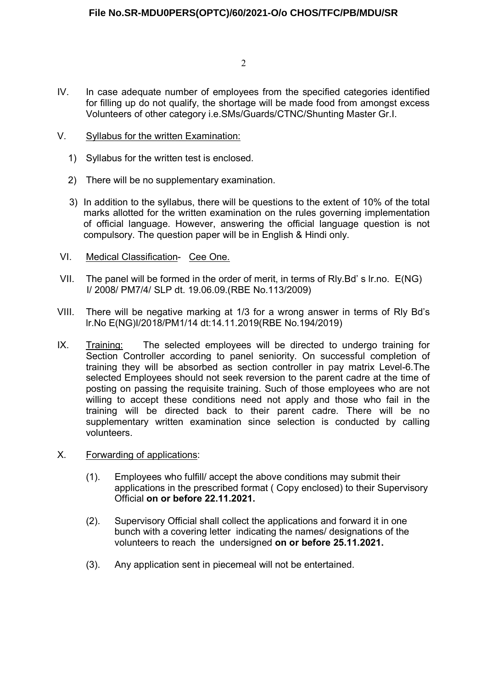- 2
- IV. In case adequate number of employees from the specified categories identified for filling up do not qualify, the shortage will be made food from amongst excess Volunteers of other category i.e.SMs/Guards/CTNC/Shunting Master Gr.I.
- V. Syllabus for the written Examination:
	- 1) Syllabus for the written test is enclosed.
	- 2) There will be no supplementary examination.
	- 3) In addition to the syllabus, there will be questions to the extent of 10% of the total marks allotted for the written examination on the rules governing implementation of official language. However, answering the official language question is not compulsory. The question paper will be in English & Hindi only.
- VI. Medical Classification- Cee One.
- VII. The panel will be formed in the order of merit, in terms of Rly.Bd' s lr.no. E(NG) I/ 2008/ PM7/4/ SLP dt. 19.06.09.(RBE No.113/2009)
- VIII. There will be negative marking at 1/3 for a wrong answer in terms of Rly Bd's lr.No E(NG)I/2018/PM1/14 dt:14.11.2019(RBE No.194/2019)
- IX. Training: The selected employees will be directed to undergo training for Section Controller according to panel seniority. On successful completion of training they will be absorbed as section controller in pay matrix Level-6.The selected Employees should not seek reversion to the parent cadre at the time of posting on passing the requisite training. Such of those employees who are not willing to accept these conditions need not apply and those who fail in the training will be directed back to their parent cadre. There will be no supplementary written examination since selection is conducted by calling volunteers.
- X. Forwarding of applications:
	- (1). Employees who fulfill/ accept the above conditions may submit their applications in the prescribed format ( Copy enclosed) to their Supervisory Official on or before 22.11.2021.
	- (2). Supervisory Official shall collect the applications and forward it in one bunch with a covering letter indicating the names/ designations of the volunteers to reach the undersigned on or before 25.11.2021.
	- (3). Any application sent in piecemeal will not be entertained.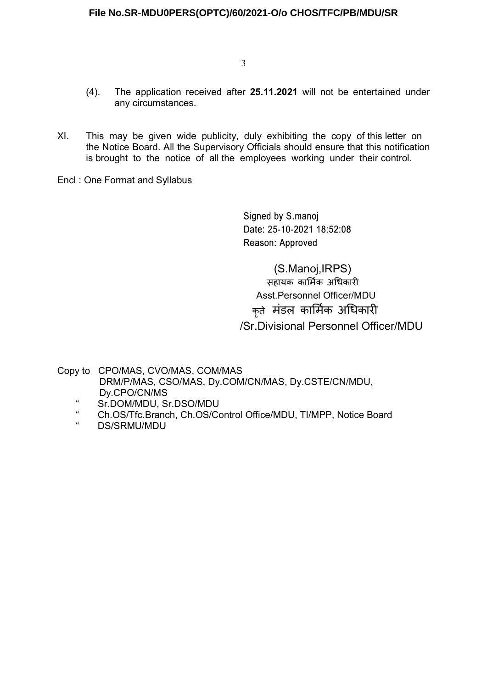- (4). The application received after 25.11.2021 will not be entertained under any circumstances.
- XI. This may be given wide publicity, duly exhibiting the copy of this letter on the Notice Board. All the Supervisory Officials should ensure that this notification is brought to the notice of all the employees working under their control.
- Encl : One Format and Syllabus

Signed by S.manoj Date: 25-10-2021 18:52:08 Reason: Approved

 (S.Manoj,IRPS) सहायक कार्मिक अधिकारी Asst.Personnel Officer/MDU कृते मंडल कार्मिक अधिकारी /Sr.Divisional Personnel Officer/MDU

Copy to CPO/MAS, CVO/MAS, COM/MAS DRM/P/MAS, CSO/MAS, Dy.COM/CN/MAS, Dy.CSTE/CN/MDU, Dy.CPO/CN/MS

- " Sr.DOM/MDU, Sr.DSO/MDU
- " Ch.OS/Tfc.Branch, Ch.OS/Control Office/MDU, TI/MPP, Notice Board<br>"RESENTIVIDU
- DS/SRMU/MDU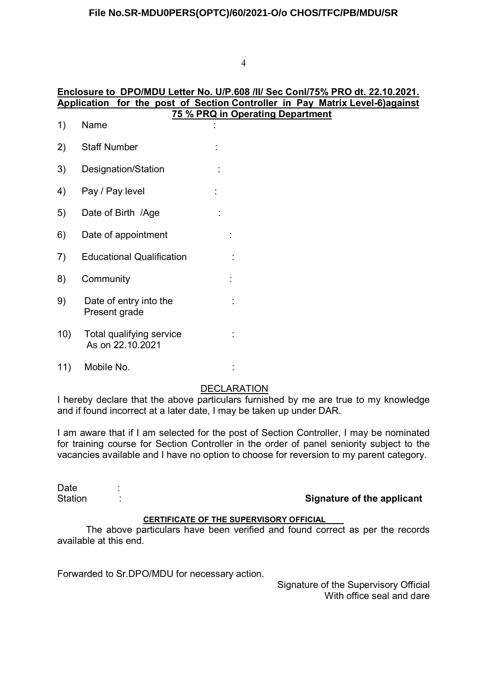# Enclosure to DPO/MDU Letter No. U/P.608 /II/ Sec Conl/75% PRO dt. 22.10.2021. Application for the post of Section Controller in Pay Matrix Level-6)against

|     | 75 % PRQ in Operating Department               |  |  |  |  |  |  |
|-----|------------------------------------------------|--|--|--|--|--|--|
| 1)  | Name                                           |  |  |  |  |  |  |
| 2)  | <b>Staff Number</b>                            |  |  |  |  |  |  |
| 3)  | Designation/Station                            |  |  |  |  |  |  |
| 4)  | Pay / Pay level                                |  |  |  |  |  |  |
| 5)  | Date of Birth /Age                             |  |  |  |  |  |  |
| 6)  | Date of appointment                            |  |  |  |  |  |  |
| 7)  | <b>Educational Qualification</b>               |  |  |  |  |  |  |
| 8)  | Community                                      |  |  |  |  |  |  |
| 9)  | Date of entry into the<br>Present grade        |  |  |  |  |  |  |
| 10) | Total qualifying service<br>As on 22, 10, 2021 |  |  |  |  |  |  |
|     |                                                |  |  |  |  |  |  |

<sup>11)</sup> Mobile No. :

## DECLARATION

I hereby declare that the above particulars furnished by me are true to my knowledge and if found incorrect at a later date, I may be taken up under DAR.

I am aware that if I am selected for the post of Section Controller, I may be nominated for training course for Section Controller in the order of panel seniority subject to the vacancies available and I have no option to choose for reversion to my parent category.

| Date    |  |
|---------|--|
| Station |  |

Signature of the applicant

## CERTIFICATE OF THE SUPERVISORY OFFICIAL

 The above particulars have been verified and found correct as per the records available at this end.

Forwarded to Sr.DPO/MDU for necessary action.

Signature of the Supervisory Official With office seal and dare